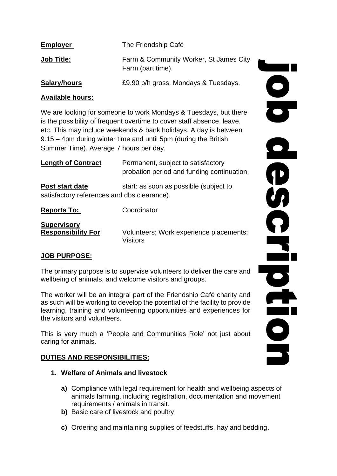| <b>Employer</b>   | The Friendship Café                                         |
|-------------------|-------------------------------------------------------------|
| <b>Job Title:</b> | Farm & Community Worker, St James City<br>Farm (part time). |
| Salary/hours      | £9.90 p/h gross, Mondays & Tuesdays.                        |

### **Available hours:**

We are looking for someone to work Mondays & Tuesdays, but there is the possibility of frequent overtime to cover staff absence, leave, etc. This may include weekends & bank holidays. A day is between 9.15 – 4pm during winter time and until 5pm (during the British Summer Time). Average 7 hours per day.

| <b>Length of Contract</b>                                      | Permanent, subject to satisfactory<br>probation period and funding continuation. |
|----------------------------------------------------------------|----------------------------------------------------------------------------------|
| Post start date<br>satisfactory references and dbs clearance). | start: as soon as possible (subject to                                           |
| <b>Reports To:</b>                                             | Coordinator                                                                      |

| <b>Supervisory</b>        |                                         |
|---------------------------|-----------------------------------------|
| <b>Responsibility For</b> | Volunteers: Work experience placements: |
|                           | <b>Visitors</b>                         |

#### **JOB PURPOSE:**

**Supervisory** 

The primary purpose is to supervise volunteers to deliver the care and wellbeing of animals, and welcome visitors and groups.

The worker will be an integral part of the Friendship Café charity and as such will be working to develop the potential of the facility to provide learning, training and volunteering opportunities and experiences for the visitors and volunteers.

This is very much a 'People and Communities Role' not just about caring for animals.

#### **DUTIES AND RESPONSIBILITIES:**

- **1. Welfare of Animals and livestock**
	- **a)** Compliance with legal requirement for health and wellbeing aspects of animals farming, including registration, documentation and movement requirements / animals in transit.
	- **b)** Basic care of livestock and poultry.
	- **c)** Ordering and maintaining supplies of feedstuffs, hay and bedding.

ODROLDEDE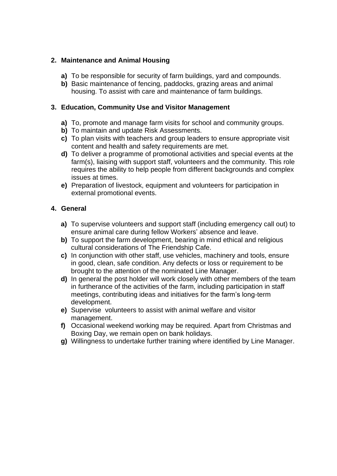### **2. Maintenance and Animal Housing**

- **a)** To be responsible for security of farm buildings, yard and compounds.
- **b)** Basic maintenance of fencing, paddocks, grazing areas and animal housing. To assist with care and maintenance of farm buildings.

### **3. Education, Community Use and Visitor Management**

- **a)** To, promote and manage farm visits for school and community groups.
- **b)** To maintain and update Risk Assessments.
- **c)** To plan visits with teachers and group leaders to ensure appropriate visit content and health and safety requirements are met.
- **d)** To deliver a programme of promotional activities and special events at the farm(s), liaising with support staff, volunteers and the community. This role requires the ability to help people from different backgrounds and complex issues at times.
- **e)** Preparation of livestock, equipment and volunteers for participation in external promotional events.

### **4. General**

- **a)** To supervise volunteers and support staff (including emergency call out) to ensure animal care during fellow Workers' absence and leave.
- **b)** To support the farm development, bearing in mind ethical and religious cultural considerations of The Friendship Cafe.
- **c)** In conjunction with other staff, use vehicles, machinery and tools, ensure in good, clean, safe condition. Any defects or loss or requirement to be brought to the attention of the nominated Line Manager.
- **d)** In general the post holder will work closely with other members of the team in furtherance of the activities of the farm, including participation in staff meetings, contributing ideas and initiatives for the farm's long-term development.
- **e)** Supervise volunteers to assist with animal welfare and visitor management.
- **f)** Occasional weekend working may be required. Apart from Christmas and Boxing Day, we remain open on bank holidays.
- **g)** Willingness to undertake further training where identified by Line Manager.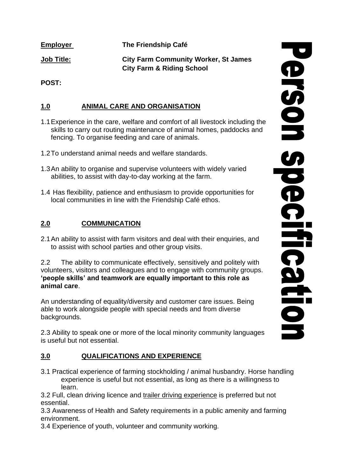**Employer The Friendship Café** 

**Job Title: City Farm Community Worker, St James City Farm & Riding School**

**POST:** 

# **1.0 ANIMAL CARE AND ORGANISATION**

- 1.1Experience in the care, welfare and comfort of all livestock including the skills to carry out routing maintenance of animal homes, paddocks and fencing. To organise feeding and care of animals.
- 1.2To understand animal needs and welfare standards.
- 1.3An ability to organise and supervise volunteers with widely varied abilities, to assist with day-to-day working at the farm.
- 1.4 Has flexibility, patience and enthusiasm to provide opportunities for local communities in line with the Friendship Café ethos.

## **2.0 COMMUNICATION**

2.1An ability to assist with farm visitors and deal with their enquiries, and to assist with school parties and other group visits.

2.2 The ability to communicate effectively, sensitively and politely with volunteers, visitors and colleagues and to engage with community groups. **'people skills' and teamwork are equally important to this role as animal care**.

An understanding of equality/diversity and customer care issues. Being able to work alongside people with special needs and from diverse backgrounds.

2.3 Ability to speak one or more of the local minority community languages is useful but not essential.

## **3.0 QUALIFICATIONS AND EXPERIENCE**

3.1 Practical experience of farming stockholding / animal husbandry. Horse handling experience is useful but not essential, as long as there is a willingness to learn.

3.2 Full, clean driving licence and trailer driving experience is preferred but not essential.

3.3 Awareness of Health and Safety requirements in a public amenity and farming environment.

3.4 Experience of youth, volunteer and community working.